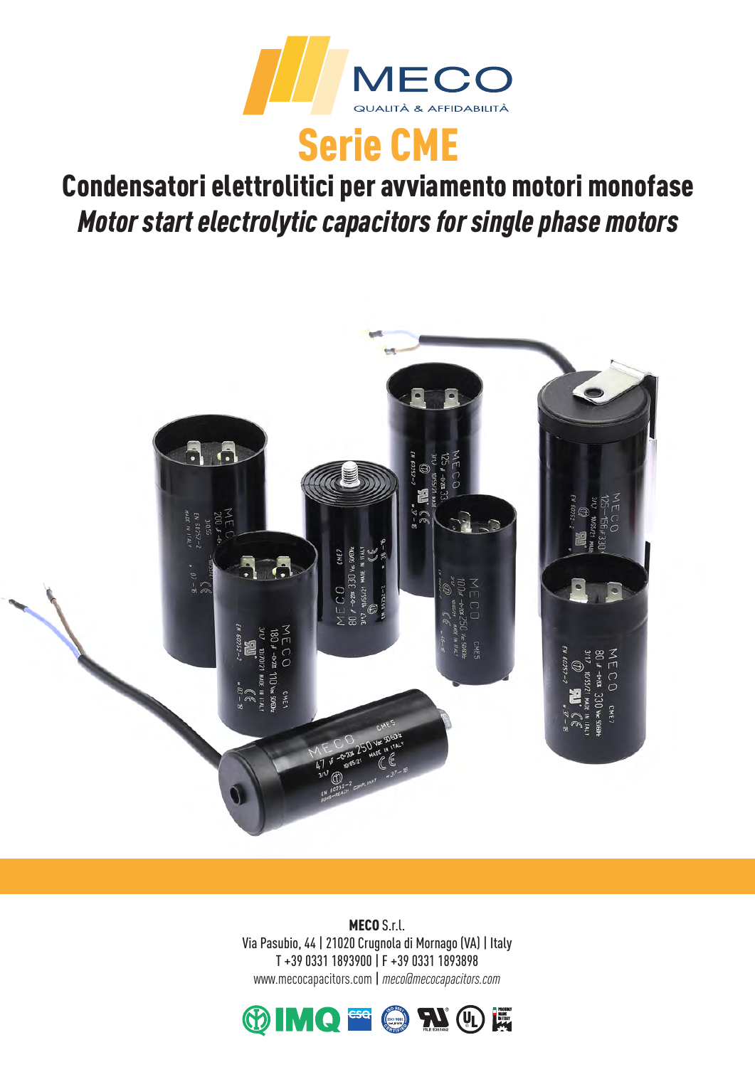

# Condensatori elettrolitici per avviamento motori monofase *Motor start electrolytic capacitors for single phase motors*



MECO S.r.l. Via Pasubio, 44 | 21020 Crugnola di Mornago (VA) | Italy T +39 0331 1893900 | F +39 0331 1893898 www.mecocapacitors.com | *meco@mecocapacitors.com*

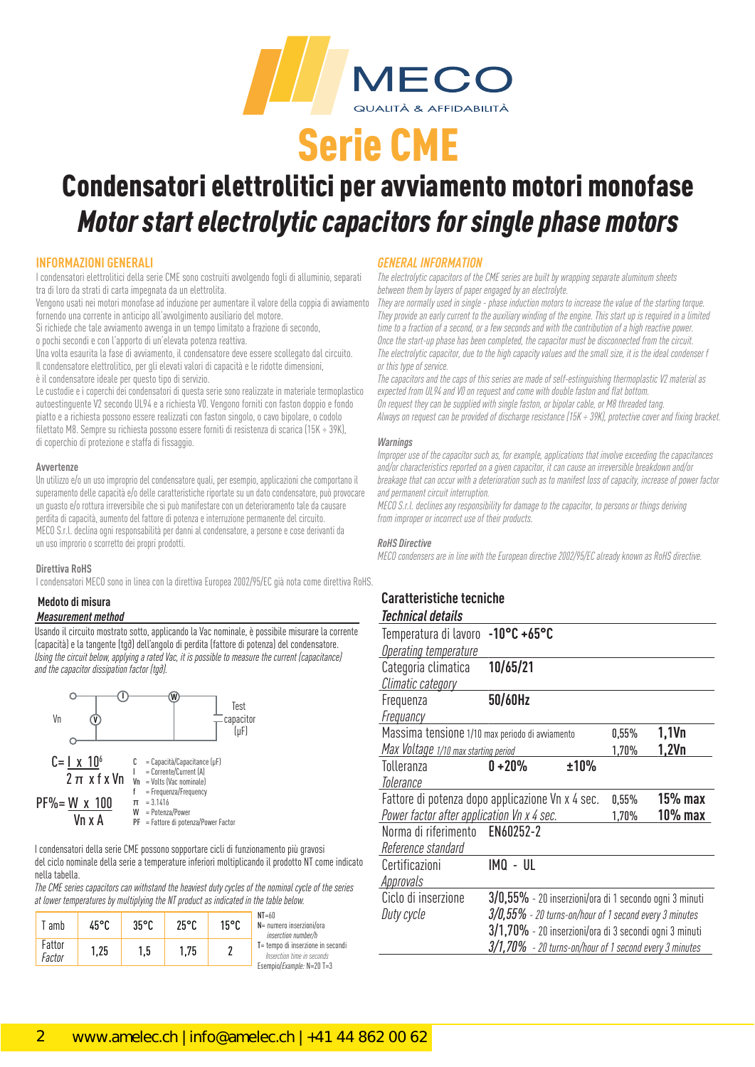

## Condensatori elettrolitici per avviamento motori monofase *Motor start electrolytic capacitors for single phase motors*

### **INFORMAZIONI GENERALI**

I condensatori elettrolitici della serie CME sono costruiti avvolgendo fogli di alluminio, separati tra di loro da strati di carta impegnata da un elettrolita.

Vengono usati nei motori monofase ad induzione per aumentare il valore della coppia di avviamento fornendo una corrente in anticipo all'avvolgimento ausiliario del motore.

Si richiede che tale avviamento avvenga in un tempo limitato a frazione di secondo,

o pochi secondi e con l'apporto di un'elevata potenza reattiva.

Una volta esaurita la fase di avviamento, il condensatore deve essere scollegato dal circuito. Il condensatore elettrolitico, per gli elevati valori di capacità e le ridotte dimensioni, è il condensatore ideale per questo tipo di servizio.

Le custodie e i coperchi dei condensatori di questa serie sono realizzate in materiale termoplastico autoestinguente V2 secondo UL94 e a richiesta V0. Vengono forniti con faston doppio e fondo piatto e a richiesta possono essere realizzati con faston singolo, o cavo bipolare, o codolo filettato M8. Sempre su richiesta possono essere forniti di resistenza di scarica (15K ÷ 39K), di coperchio di protezione e staffa di fissaggio.

#### **Avvertenze**

Un utilizzo e/o un uso improprio del condensatore quali, per esempio, applicazioni che comportano il superamento delle capacità e/o delle caratteristiche riportate su un dato condensatore, può provocare un guasto e/o rottura irreversibile che si può manifestare con un deterioramento tale da causare perdita di capacità, aumento del fattore di potenza e interruzione permanente del circuito. MECO S.r.l. declina ogni responsabilità per danni al condensatore, a persone e cose derivanti da un uso improrio o scorretto dei propri prodotti.

#### **Direttiva RoHS**

I condensatori MECO sono in linea con la direttiva Europea 2002/95/EC già nota come direttiva RoHS.

## **Medoto di misura**

### *Measurement method*

Usando il circuito mostrato sotto, applicando la Vac nominale, è possibile misurare la corrente (capacità) e la tangente (tg∂) dell'angolo di perdita (fattore di potenza) del condensatore. *Using the circuit below, applying a rated Vac, it is possible to measure the current (capacitance) and the capacitor dissipation factor (tg∂).* 



I condensatori della serie CME possono sopportare cicli di funzionamento più gravosi del ciclo nominale della serie a temperature inferiori moltiplicando il prodotto NT come indicato nella tabella.

*The CME series capacitors can withstand the heaviest duty cycles of the nominal cycle of the series at lower temperatures by multiplying the NT product as indicated in the table below.*

| <sup>-</sup> amb | 45°C | $35^{\circ}$ C | $25^{\circ}$ C | 15°C | $NT = 60$<br>$N = num$<br>inse |
|------------------|------|----------------|----------------|------|--------------------------------|
| Fattor<br>Factor | 1,25 | 1.5            | 1.75           |      | $T = temp$<br>Inser<br>Esempio |

nero inserzioni/ora  *inserction number/h*  o di inserzione in secondi

 *Inserction time in seconds* Esempio/*Example:* N=20 T=3

### *GENERAL INFORMATION*

*The electrolytic capacitors of the CME series are built by wrapping separate aluminum sheets between them by layers of paper engaged by an electrolyte.*

*They are normally used in single - phase induction motors to increase the value of the starting torque. They provide an early current to the auxiliary winding of the engine. This start up is required in a limited time to a fraction of a second, or a few seconds and with the contribution of a high reactive power. Once the start-up phase has been completed, the capacitor must be disconnected from the circuit. The electrolytic capacitor, due to the high capacity values and the small size, it is the ideal condenser f or this type of service.*

*The capacitors and the caps of this series are made of self-estinguishing thermoplastic V2 material as expected from UL94 and V0 on request and come with double faston and flat bottom. On request they can be supplied with single faston, or bipolar cable, or M8 threaded tang. Always on request can be provided of discharge resistance (15K ÷ 39K), protective cover and fixing bracket.*

#### *Warnings*

*Improper use of the capacitor such as, for example, applications that involve exceeding the capacitances and/or characteristics reported on a given capacitor, it can cause an irreversible breakdown and/or breakage that can occur with a deterioration such as to manifest loss of capacity, increase of power factor and permanent circuit interruption.*

*MECO S.r.l. declines any responsibility for damage to the capacitor, to persons or things deriving from improper or incorrect use of their products.*

#### *RoHS Directive*

*MECO condensers are in line with the European directive 2002/95/EC already known as RoHS directive.*

### **Caratteristiche tecniche**   *Technical details*

| Temperatura di lavoro                           | $-10^{\circ}$ C +65°C                                     |          |            |
|-------------------------------------------------|-----------------------------------------------------------|----------|------------|
| <b>Operating temperature</b>                    |                                                           |          |            |
| Categoria climatica                             | 10/65/21                                                  |          |            |
| Climatic category                               |                                                           |          |            |
| Frequenza                                       | 50/60Hz                                                   |          |            |
| Frequancy                                       |                                                           |          |            |
| Massima tensione 1/10 max periodo di avviamento |                                                           | $0,55\%$ | 1,1Vn      |
| Max Voltage 1/10 max starting period            |                                                           | 1,70%    | 1,2Vn      |
| Tolleranza                                      | ±10%<br>$0 + 20%$                                         |          |            |
| Tolerance                                       |                                                           |          |            |
|                                                 | Fattore di potenza dopo applicazione Vn x 4 sec.          | $0,55\%$ | $15%$ max  |
| Power factor after application Vn x 4 sec.      |                                                           | 1,70%    | $10\%$ max |
| Norma di riferimento                            | EN60252-2                                                 |          |            |
| Reference standard                              |                                                           |          |            |
| Certificazioni                                  | imq - ul                                                  |          |            |
| <b>Approvals</b>                                |                                                           |          |            |
| Ciclo di inserzione                             | $3/0,55\%$ - 20 inserzioni/ora di 1 secondo ogni 3 minuti |          |            |
| Duty cycle                                      | $3/0,55\%$ - 20 turns-on/hour of 1 second every 3 minutes |          |            |
|                                                 | 3/1,70% - 20 inserzioni/ora di 3 secondi ogni 3 minuti    |          |            |
|                                                 | 3/1,70% - 20 turns-on/hour of 1 second every 3 minutes    |          |            |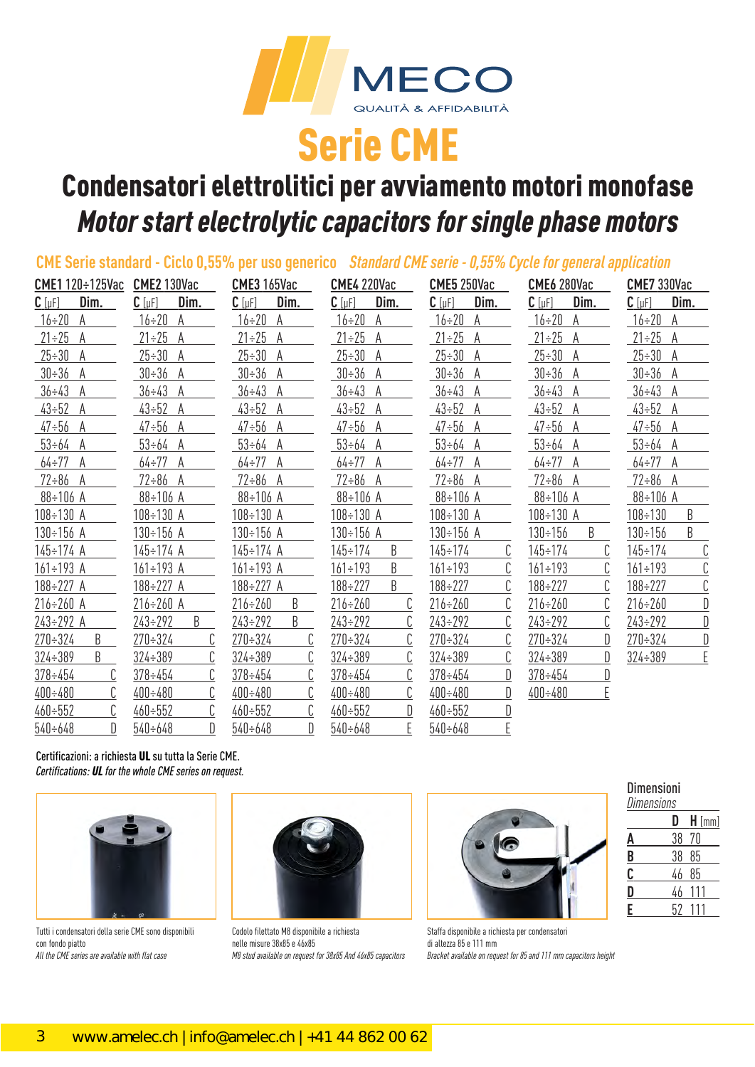

# Condensatori elettrolitici per avviamento motori monofase *Motor start electrolytic capacitors for single phase motors*

|                                |                     | CME Serie standard - Ciclo 0,55% per uso generico Standard CME serie - 0,55% Cycle for general application |                     |                           |                        |                     |
|--------------------------------|---------------------|------------------------------------------------------------------------------------------------------------|---------------------|---------------------------|------------------------|---------------------|
| CME1 120÷125Vac CME2 130Vac    |                     | <b>CME3 165Vac</b>                                                                                         | <b>CME4 220Vac</b>  | CME5 250Vac               | CME6 280Vac            | CME7 330Vac         |
| Dim.<br>$C$ [ $\mu$ F]         | Dim.<br>$C$ [µF]    | $C$ [ $\mu$ F]<br>Dim.                                                                                     | Dim.<br>$C$ [µF]    | <u>Dim.</u><br>$C[\mu F]$ | Dim.<br>$C$ [ $\mu$ F] | Dim.<br>$C$ [µF]    |
| $16 - 20$<br>A                 | $16 \div 20$<br>A   | $16 \div 20$<br>A                                                                                          | $16 \div 20$<br>A   | $16 \div 20$<br>A         | $16\div 20$<br>A       | $16 \div 20$<br>A   |
| $21 \div 25$<br>A              | $21 \div 25$<br>A   | $21 \div 25$<br>A                                                                                          | $21 \div 25$<br>A   | $21 \div 25$<br>A         | $21 \div 25$<br>A      | $21 \div 25$<br>A   |
| $25 - 30$<br>A                 | $25 \div 30$<br>A   | $25 - 30$<br>A                                                                                             | $25 \div 30$<br>A   | $25 - 30$<br>A            | $25 \div 30$ A         | $25 - 30$<br>A      |
| $30 \div 36$<br>A              | $30 \div 36$ A      | $30 - 36$<br>A                                                                                             | $30 \div 36$<br>A   | $30 - 36$<br>A            | $30 \div 36$ A         | $30 - 36$<br>A      |
| $36 \div 43$<br>A              | $36 \div 43$<br>A   | $36 \div 43$<br>A                                                                                          | $36 \div 43$ A      | $36 \div 43$<br>A         | $36 \div 43$ A         | $36 \div 43$<br>A   |
| $43 - 52$<br>A                 | $43 \div 52$<br>A   | $43 \div 52$<br>A                                                                                          | $43 \div 52$ A      | $43 - 52$<br>A            | $43 \div 52$ A         | $43 - 52$<br>A      |
| $47 - 56$<br>A                 | $47 \div 56$ A      | $47 - 56$<br>A                                                                                             | $47 \div 56$ A      | $47 \div 56$ A            | $47 \div 56$ A         | $47 \div 56$ A      |
| $53 \div 64$ A                 | $53 \div 64$ A      | $53 \div 64$ A                                                                                             | $53 \div 64$ A      | $53 \div 64$ A            | $53 \div 64$ A         | $53 \div 64$ A      |
| 64÷77<br>A                     | $64 \div 77$ A      | $64 - 77$<br>A                                                                                             | $64 \div 77$ A      | $64 - 77$<br>A            | $64 \div 77$ A         | $64 \div 77$<br>A   |
| $72 \div 86$ A                 | $72 \div 86$ A      | $72 \div 86$ A                                                                                             | $72 \div 86$ A      | $72 \div 86$ A            | $72 \div 86$ A         | $72 \div 86$ A      |
| 88÷106 A                       | 88÷106 A            | 88÷106 A                                                                                                   | 88÷106 A            | 88÷106 A                  | 88÷106 A               | $88 \div 106$ A     |
| $108 \div 130$ A               | $108 \div 130$ A    | $108 \div 130$ A                                                                                           | $108 \div 130$ A    | $108 \div 130$ A          | $108 \div 130$ A       | B<br>$108 \div 130$ |
| $130 \div 156$ A               | 130÷156 A           | 130÷156 A                                                                                                  | 130÷156 A           | $130 \div 156$ A          | B<br>$130 \div 156$    | B<br>$130 \div 156$ |
| 145÷174 A                      | 145÷174 A           | $145 \div 174$ A                                                                                           | B<br>$145 \div 174$ | C<br>$145 \div 174$       | $145 \div 174$         | C<br>$145 \div 174$ |
| $161 \div 193$ A               | $161 \div 193$ A    | $161 \div 193$ A                                                                                           | B<br>$161 \div 193$ | C<br>$161 \div 193$       | $161 \div 193$         | C<br>$161 \div 193$ |
| 188÷227 A                      | $188 \div 227$ A    | $188 \div 227$ A                                                                                           | B<br>$188 \div 227$ | С<br>$188 \div 227$       | $188 \div 227$         | C<br>$188 \div 227$ |
| $216 \div 260$ A               | $216 \div 260$ A    | $216 \div 260$<br>B                                                                                        | $216 - 260$         | C<br>$216 \div 260$       | $216 \div 260$         | D<br>$216 - 260$    |
| $243 \div 292$ A               | B<br>$243 \div 292$ | B<br>$243 \div 292$                                                                                        | $243 \div 292$      | С<br>$243 \div 292$       | $243 \div 292$         | $243 \div 292$      |
| $270 \div 324$<br>B            | $270 \div 324$      | $270 \div 324$<br>C                                                                                        | $270 - 324$         | C<br>$270 - 324$          | $270 \div 324$<br>D    | D<br>$270 - 324$    |
| $324 \div 389$<br>B            | $324 \div 389$      | C<br>$324 \div 389$                                                                                        | $324 \div 389$      | С<br>$324 \div 389$       | D<br>$324 \div 389$    | E<br>$324 \div 389$ |
| $378 \div 454$                 | $378 \div 454$      | $378 \div 454$                                                                                             | $378 \div 454$      | D<br>$378 \div 454$       | $378 \div 454$         |                     |
| $400 \div 480$                 | $400 \div 480$      | $400 \div 480$                                                                                             | $400 \div 480$      | D<br>$400 \div 480$       | E<br>$400 \div 480$    |                     |
| C<br>$460 - 552$               | $460 \div 552$      | C<br>$460 \div 552$                                                                                        | $460 - 552$         | $460 \div 552$            |                        |                     |
| $\mathbb{D}$<br>$540 \div 648$ | D<br>$540 \div 648$ | D<br>$540 \div 648$                                                                                        | E<br>$540 \div 648$ | E<br>$540 \div 648$       |                        |                     |

Certificazioni: a richiesta UL su tutta la Serie CME. *Certifications: UL for the whole CME series on request.*



Tutti i condensatori della serie CME sono disponibili con fondo piatto *All the CME series are available with flat case*



Codolo filettato M8 disponibile a richiesta nelle misure 38x85 e 46x85 *M8 stud available on request for 38x85 And 46x85 capacitors*



Staffa disponibile a richiesta per condensatori di altezza 85 e 111 mm *Bracket available on request for 85 and 111 mm capacitors height*

## Dimensioni

| <b>Dimensions</b> |    |          |  |  |
|-------------------|----|----------|--|--|
|                   | D  | $H$ [mm] |  |  |
| A                 | 38 | 70       |  |  |
| <u>B</u>          | 38 | 85       |  |  |
| C                 | 46 | 85       |  |  |
| D                 | 46 | 111      |  |  |
| E                 | 52 |          |  |  |